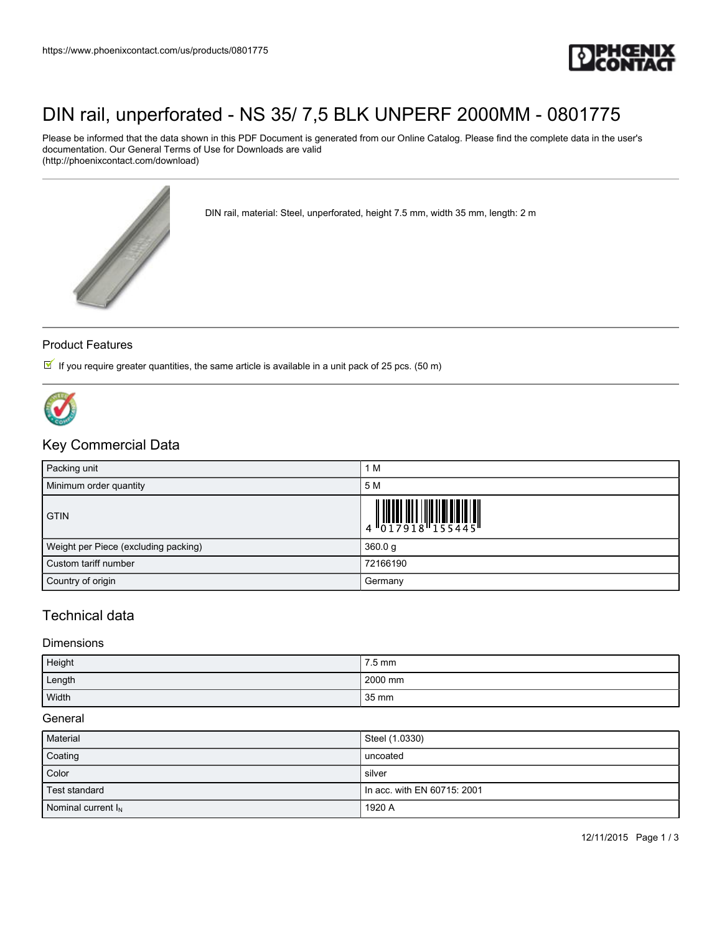

## [DIN rail, unperforated - NS 35/ 7,5 BLK UNPERF 2000MM - 0801775](https://www.phoenixcontact.com/us/products/0801775)

Please be informed that the data shown in this PDF Document is generated from our Online Catalog. Please find the complete data in the user's documentation. Our General Terms of Use for Downloads are valid (http://phoenixcontact.com/download)



DIN rail, material: Steel, unperforated, height 7.5 mm, width 35 mm, length: 2 m

#### Product Features

If you require greater quantities, the same article is available in a unit pack of 25 pcs. (50 m)



## Key Commercial Data

| Packing unit                         | 1 M                                                                                                                                                        |
|--------------------------------------|------------------------------------------------------------------------------------------------------------------------------------------------------------|
| Minimum order quantity               | 5 M                                                                                                                                                        |
| <b>GTIN</b>                          | $\left \begin{array}{c} \phantom{-} \phantom{-} \\ 4 \phantom{+} \phantom{+} \\ 0 \phantom{+} \phantom{+} \\ 2 \phantom{+} \phantom{+} \end{array}\right $ |
| Weight per Piece (excluding packing) | 360.0 g                                                                                                                                                    |
| Custom tariff number                 | 72166190                                                                                                                                                   |
| Country of origin                    | Germany                                                                                                                                                    |

### Technical data

#### Dimensions

| Height | 7.5 mm           |
|--------|------------------|
| Length | 2000 mm          |
| Width  | $135 \text{ mm}$ |

#### **General**

| Material              | Steel (1.0330)                |
|-----------------------|-------------------------------|
| Coating               | uncoated                      |
| Color                 | silver                        |
| Test standard         | I In acc. with EN 60715: 2001 |
| Nominal current $I_N$ | 1920 A                        |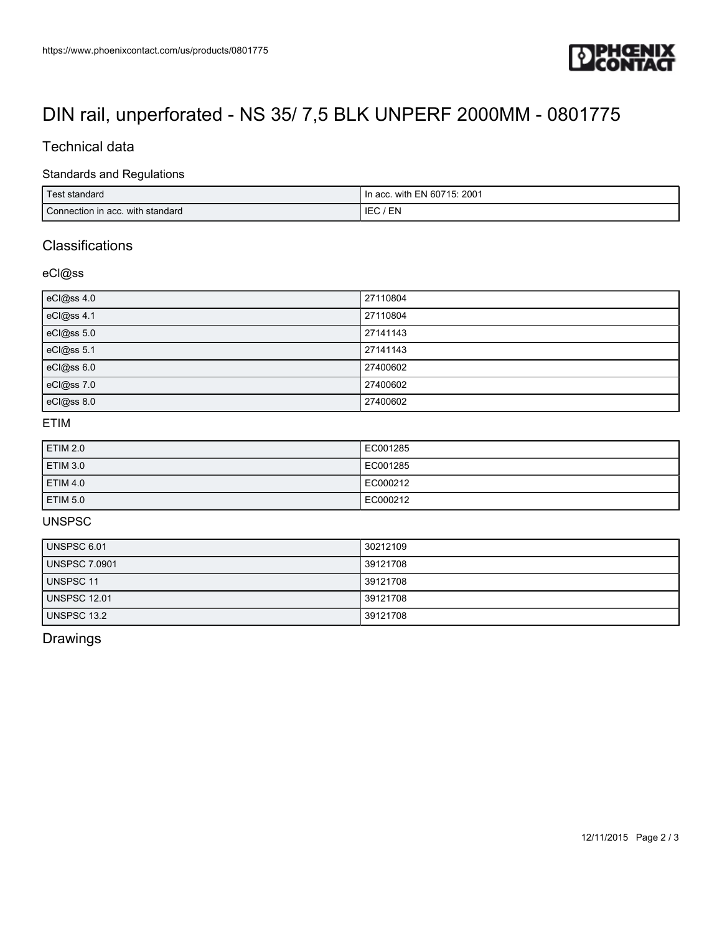

# [DIN rail, unperforated - NS 35/ 7,5 BLK UNPERF 2000MM - 0801775](https://www.phoenixcontact.com/us/products/0801775)

## Technical data

#### Standards and Regulations

| standard<br>l est                | : 2001<br>with EN 60715:<br>In acc. |
|----------------------------------|-------------------------------------|
| Connection in acc. with standard | EN<br>IE.                           |

## **Classifications**

### eCl@ss

| eCl@ss 4.0 | 27110804 |
|------------|----------|
| eCl@ss 4.1 | 27110804 |
| eCl@ss 5.0 | 27141143 |
| eCl@ss 5.1 | 27141143 |
| eCl@ss 6.0 | 27400602 |
| eCl@ss 7.0 | 27400602 |
| eCl@ss 8.0 | 27400602 |

## ETIM

| ETIM 2.0 | EC001285 |
|----------|----------|
| ETIM 3.0 | EC001285 |
| ETIM 4.0 | EC000212 |
| ETIM 5.0 | EC000212 |

## UNSPSC

| UNSPSC 6.01          | 30212109 |
|----------------------|----------|
| <b>UNSPSC 7.0901</b> | 39121708 |
| UNSPSC 11            | 39121708 |
| <b>UNSPSC 12.01</b>  | 39121708 |
| UNSPSC 13.2          | 39121708 |

## Drawings